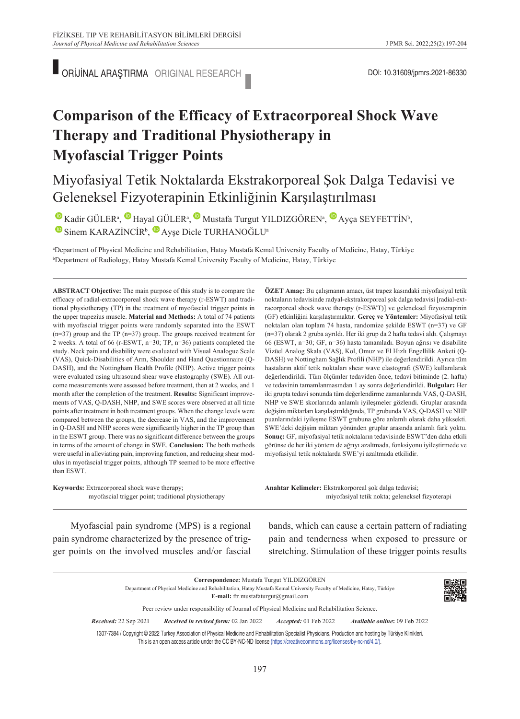ORİJİNAL ARAŞTIRMA ORIGINAL RESEARCH **VE ARAŞTIRMA ORIGINAL RESEARCH** 

# **Comparison of the Efficacy of Extracorporeal Shock Wave Therapy and Traditional Physiotherapy in Myofascial Trigger Points**

## Miyofasiyal Tetik Noktalarda Ekstrakorporeal Şok Dalga Tedavisi ve Geleneksel Fizyoterapinin Etkinliğinin Karşılaştırılması

 $\bullet$ Kadir GÜLER<sup>a</sup>,  $\bullet$  Hayal GÜLER<sup>a</sup>,  $\bullet$  Mustafa Turgut YILDIZGÖREN<sup>a</sup>,  $\bullet$  Ayça SEYFETTİN<sup>b</sup>,  $\bullet$ Sinem KARAZİNCİR<sup>b</sup>,  $\bullet$  Ayşe Dicle TURHANOĞLU<sup>a</sup>

a Department of Physical Medicine and Rehabilitation, Hatay Mustafa Kemal University Faculty of Medicine, Hatay, Türkiye b Department of Radiology, Hatay Mustafa Kemal University Faculty of Medicine, Hatay, Türkiye

**ABS TRACT Objective:** The main purpose of this study is to compare the efficacy of radial-extracorporeal shock wave therapy (r-ESWT) and traditional physiotherapy (TP) in the treatment of myofascial trigger points in the upper trapezius muscle. **Material and Methods:** A total of 74 patients with myofascial trigger points were randomly separated into the ESWT (n=37) group and the TP (n=37) group. The groups received treatment for 2 weeks. A total of 66 (r-ESWT, n=30; TP, n=36) patients completed the study. Neck pain and disability were evaluated with Visual Analogue Scale (VAS), Quick-Disabilities of Arm, Shoulder and Hand Questionnaire (Q-DASH), and the Nottingham Health Profile (NHP). Active trigger points were evaluated using ultrasound shear wave elastography (SWE). All outcome measurements were assessed before treatment, then at 2 weeks, and 1 month after the completion of the treatment. **Results:** Significant improvements of VAS, Q-DASH, NHP, and SWE scores were observed at all time points after treatment in both treatment groups. When the change levels were compared between the groups, the decrease in VAS, and the improvement in Q-DASH and NHP scores were significantly higher in the TP group than in the ESWT group. There was no significant difference between the groups in terms of the amount of change in SWE. **Conclusion:** The both methods were useful in alleviating pain, improving function, and reducing shear modulus in myofascial trigger points, although TP seemed to be more effective than ESWT.

**ÖZET Amaç:** Bu çalışmanın amacı, üst trapez kasındaki miyofasiyal tetik noktaların tedavisinde radyal-ekstrakorporeal şok dalga tedavisi [radial-extracorporeal shock wave therapy (r-ESWT)] ve geleneksel fizyoterapinin (GF) etkinliğini karşılaştırmaktır. **Gereç ve Yöntemler:** Miyofasiyal tetik noktaları olan toplam 74 hasta, randomize şekilde ESWT (n=37) ve GF (n=37) olarak 2 gruba ayrıldı. Her iki grup da 2 hafta tedavi aldı. Çalışmayı 66 (ESWT, n=30; GF, n=36) hasta tamamladı. Boyun ağrısı ve disabilite Vizüel Analog Skala (VAS), Kol, Omuz ve El Hızlı Engellilik Anketi (Q-DASH) ve Nottingham Sağlık Profili (NHP) ile değerlendirildi. Ayrıca tüm hastaların aktif tetik noktaları shear wave elastografi (SWE) kullanılarak değerlendirildi. Tüm ölçümler tedaviden önce, tedavi bitiminde (2. hafta) ve tedavinin tamamlanmasından 1 ay sonra değerlendirildi. **Bulgular:** Her iki grupta tedavi sonunda tüm değerlendirme zamanlarında VAS, Q-DASH, NHP ve SWE skorlarında anlamlı iyileşmeler gözlendi. Gruplar arasında değişim miktarları karşılaştırıldığında, TP grubunda VAS, Q-DASH ve NHP puanlarındaki iyileşme ESWT grubuna göre anlamlı olarak daha yüksekti. SWE'deki değişim miktarı yönünden gruplar arasında anlamlı fark yoktu. **Sonuç:** GF, miyofasiyal tetik noktaların tedavisinde ESWT'den daha etkili görünse de her iki yöntem de ağrıyı azaltmada, fonksiyonu iyileştirmede ve miyofasiyal tetik noktalarda SWE'yi azaltmada etkilidir.

| <b>Keywords:</b> Extracorporeal shock wave therapy; |  |
|-----------------------------------------------------|--|
| myofascial trigger point; traditional physiotherapy |  |

Anahtar Kelimeler: Ekstrakorporeal şok dalga tedavisi; miyofasiyal tetik nokta; geleneksel fizyoterapi

Myofascial pain syndrome (MPS) is a regional pain syndrome characterized by the presence of trigger points on the involved muscles and/or fascial bands, which can cause a certain pattern of radiating pain and tenderness when exposed to pressure or stretching. Stimulation of these trigger points results

**Correspondence:** Mustafa Turgut YILDIZGÖREN Department of Physical Medicine and Rehabilitation, Hatay Mustafa Kemal University Faculty of Medicine, Hatay, Türkiye **E-mail:** ftr.mustafaturgut@gmail.com Peer review under responsibility of Journal of Physical Medicine and Rehabilitation Science. *Re ce i ved:* 22 Sep 2021 *Received in revised form:* 02 Jan 2022 *Ac cep ted:* 01 Feb 2022 *Available online***:** 09 Feb 2022

1307-7384 / Copyright © 2022 Turkey Association of Physical Medicine and Rehabilitation Specialist Physicians. Production and hosting by Türkiye Klinikleri. This is an open access article under the CC BY-NC-ND license [\(https://creativecommons.org/licenses/by-nc-nd/4.0/\)](https://creativecommons.org/licenses/by-nc-nd/4.0/).

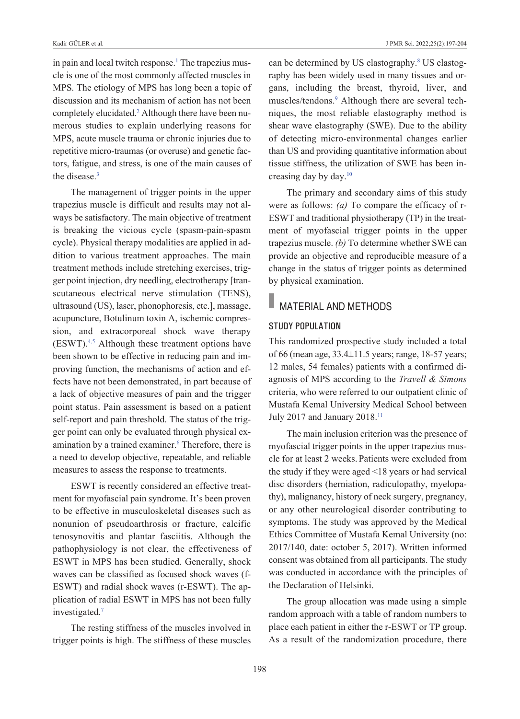in pain and local twitch response.<sup>1</sup> The trapezius muscle is one of the most commonly affected muscles in MPS. The etiology of MPS has long been a topic of discussion and its mechanism of action has not been completely elucidated[.2](#page-7-0) Although there have been numerous studies to explain underlying reasons for MPS, acute muscle trauma or chronic injuries due to repetitive micro-traumas (or overuse) and genetic factors, fatigue, and stress, is one of the main causes of the disease.<sup>3</sup>

The management of trigger points in the upper trapezius muscle is difficult and results may not always be satisfactory. The main objective of treatment is breaking the vicious cycle (spasm-pain-spasm cycle). Physical therapy modalities are applied in addition to various treatment approaches. The main treatment methods include stretching exercises, trigger point injection, dry needling, electrotherapy [transcutaneous electrical nerve stimulation (TENS), ultrasound (US), laser, phonophoresis, etc.], massage, acupuncture, Botulinum toxin A, ischemic compression, and extracorporeal shock wave therapy (ESWT)[.4,5](#page-7-0) Although these treatment options have been shown to be effective in reducing pain and improving function, the mechanisms of action and effects have not been demonstrated, in part because of a lack of objective measures of pain and the trigger point status. Pain assessment is based on a patient self-report and pain threshold. The status of the trigger point can only be evaluated through physical examination by a trained examiner.<sup>6</sup> Therefore, there is a need to develop objective, repeatable, and reliable measures to assess the response to treatments.

ESWT is recently considered an effective treatment for myofascial pain syndrome. It's been proven to be effective in musculoskeletal diseases such as nonunion of pseudoarthrosis or fracture, calcific tenosynovitis and plantar fasciitis. Although the pathophysiology is not clear, the effectiveness of ESWT in MPS has been studied. Generally, shock waves can be classified as focused shock waves (f-ESWT) and radial shock waves (r-ESWT). The application of radial ESWT in MPS has not been fully investigated[.7](#page-7-0)

The resting stiffness of the muscles involved in trigger points is high. The stiffness of these muscles

can be determined by US elastography.<sup>8</sup> US elastography has been widely used in many tissues and organs, including the breast, thyroid, liver, and muscles/tendons[.9](#page-7-0) Although there are several techniques, the most reliable elastography method is shear wave elastography (SWE). Due to the ability of detecting micro-environmental changes earlier than US and providing quantitative information about tissue stiffness, the utilization of SWE has been increasing day by day[.10](#page-7-0)

The primary and secondary aims of this study were as follows: *(a)* To compare the efficacy of r-ESWT and traditional physiotherapy (TP) in the treatment of myofascial trigger points in the upper trapezius muscle. *(b)* To determine whether SWE can provide an objective and reproducible measure of a change in the status of trigger points as determined by physical examination.

### MATERIAL AND METHODS

#### Study population

This randomized prospective study included a total of 66 (mean age, 33.4±11.5 years; range, 18-57 years; 12 males, 54 females) patients with a confirmed diagnosis of MPS according to the *Travell & Simons* criteria, who were referred to our outpatient clinic of Mustafa Kemal University Medical School between July 2017 and January 2018.<sup>11</sup>

The main inclusion criterion was the presence of myofascial trigger points in the upper trapezius muscle for at least 2 weeks. Patients were excluded from the study if they were aged <18 years or had servical disc disorders (herniation, radiculopathy, myelopathy), malignancy, history of neck surgery, pregnancy, or any other neurological disorder contributing to symptoms. The study was approved by the Medical Ethics Committee of Mustafa Kemal University (no: 2017/140, date: october 5, 2017). Written informed consent was obtained from all participants. The study was conducted in accordance with the principles of the Declaration of Helsinki.

The group allocation was made using a simple random approach with a table of random numbers to place each patient in either the r-ESWT or TP group. As a result of the randomization procedure, there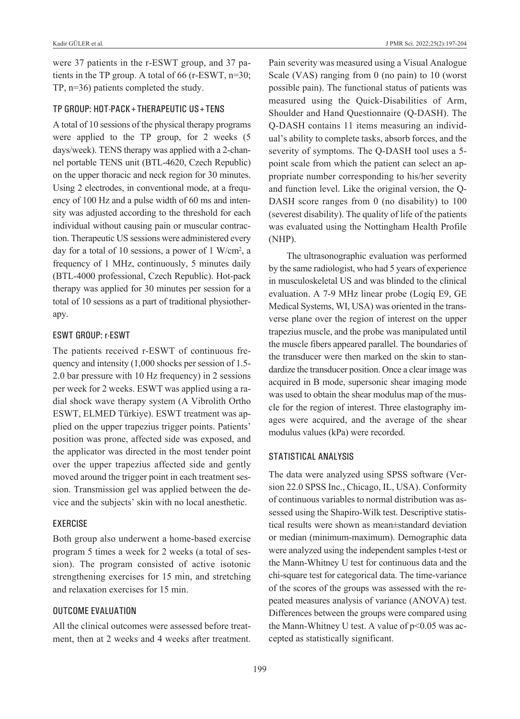were 37 patients in the r-ESWT group, and 37 patients in the TP group. A total of 66 (r-ESWT, n=30; TP, n=36) patients completed the study.

#### tp group: Hot-pack+tHerapeutic uS+tenS

A total of 10 sessions of the physical therapy programs were applied to the TP group, for 2 weeks (5 days/week). TENS therapy was applied with a 2-channel portable TENS unit (BTL-4620, Czech Republic) on the upper thoracic and neck region for 30 minutes. Using 2 electrodes, in conventional mode, at a frequency of 100 Hz and a pulse width of 60 ms and intensity was adjusted according to the threshold for each individual without causing pain or muscular contraction. Therapeutic US sessions were administered every day for a total of 10 sessions, a power of 1 W/cm<sup>2</sup>, a frequency of 1 MHz, continuously, 5 minutes daily (BTL-4000 professional, Czech Republic). Hot-pack therapy was applied for 30 minutes per session for a total of 10 sessions as a part of traditional physiotherapy.

#### eSWt group: r-eSWt

The patients received r-ESWT of continuous frequency and intensity (1,000 shocks per session of 1.5- 2.0 bar pressure with 10 Hz frequency) in 2 sessions per week for 2 weeks. ESWT was applied using a radial shock wave therapy system (A Vibrolith Ortho ESWT, ELMED Türkiye). ESWT treatment was applied on the upper trapezius trigger points. Patients' position was prone, affected side was exposed, and the applicator was directed in the most tender point over the upper trapezius affected side and gently moved around the trigger point in each treatment session. Transmission gel was applied between the device and the subjects' skin with no local anesthetic.

#### **EXERCISE**

Both group also underwent a home-based exercise program 5 times a week for 2 weeks (a total of session). The program consisted of active isotonic strengthening exercises for 15 min, and stretching and relaxation exercises for 15 min.

#### outcome evaluation

All the clinical outcomes were assessed before treatment, then at 2 weeks and 4 weeks after treatment. Pain severity was measured using a Visual Analogue Scale (VAS) ranging from 0 (no pain) to 10 (worst possible pain). The functional status of patients was measured using the Quick-Disabilities of Arm, Shoulder and Hand Questionnaire (Q-DASH). The Q-DASH contains 11 items measuring an individual's ability to complete tasks, absorb forces, and the severity of symptoms. The Q-DASH tool uses a 5 point scale from which the patient can select an appropriate number corresponding to his/her severity and function level. Like the original version, the Q-DASH score ranges from 0 (no disability) to 100 (severest disability). The quality of life of the patients was evaluated using the Nottingham Health Profile (NHP).

The ultrasonographic evaluation was performed by the same radiologist, who had 5 years of experience in musculoskeletal US and was blinded to the clinical evaluation. A 7-9 MHz linear probe (Logiq E9, GE Medical Systems, WI, USA) was oriented in the transverse plane over the region of interest on the upper trapezius muscle, and the probe was manipulated until the muscle fibers appeared parallel. The boundaries of the transducer were then marked on the skin to standardize the transducer position. Once a clear image was acquired in B mode, supersonic shear imaging mode was used to obtain the shear modulus map of the muscle for the region of interest. Three elastography images were acquired, and the average of the shear modulus values (kPa) were recorded.

#### STATISTICAL ANALYSIS

The data were analyzed using SPSS software (Version 22.0 SPSS Inc., Chicago, IL, USA). Conformity of continuous variables to normal distribution was assessed using the Shapiro-Wilk test. Descriptive statistical results were shown as mean±standard deviation or median (minimum-maximum). Demographic data were analyzed using the independent samples t-test or the Mann-Whitney U test for continuous data and the chi-square test for categorical data. The time-variance of the scores of the groups was assessed with the repeated measures analysis of variance (ANOVA) test. Differences between the groups were compared using the Mann-Whitney U test. A value of  $p<0.05$  was accepted as statistically significant.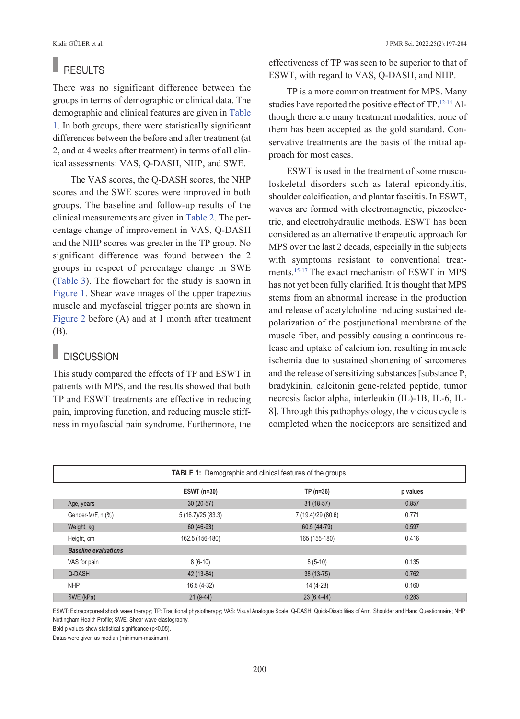### **RESULTS**

There was no significant difference between the groups in terms of demographic or clinical data. The demographic and clinical features are given in [Table](#page-3-0)  [1.](#page-3-0) In both groups, there were statistically significant differences between the before and after treatment (at 2, and at 4 weeks after treatment) in terms of all clinical assessments: VAS, Q-DASH, NHP, and SWE.

The VAS scores, the Q-DASH scores, the NHP scores and the SWE scores were improved in both groups. The baseline and follow-up results of the clinical measurements are given in [Table 2.](#page-4-0) The percentage change of improvement in VAS, Q-DASH and the NHP scores was greater in the TP group. No significant difference was found between the 2 groups in respect of percentage change in SWE [\(Table 3\)](#page-5-0). The flowchart for the study is shown in [Figure 1.](#page-6-0) Shear wave images of the upper trapezius muscle and myofascial trigger points are shown in [Figure 2](#page-6-1) before (A) and at 1 month after treatment (B).

### **DISCUSSION**

This study compared the effects of TP and ESWT in patients with MPS, and the results showed that both TP and ESWT treatments are effective in reducing pain, improving function, and reducing muscle stiffness in myofascial pain syndrome. Furthermore, the effectiveness of TP was seen to be superior to that of ESWT, with regard to VAS, Q-DASH, and NHP.

TP is a more common treatment for MPS. Many studies have reported the positive effect of TP[.12-14](#page-7-0) Although there are many treatment modalities, none of them has been accepted as the gold standard. Conservative treatments are the basis of the initial approach for most cases.

<span id="page-3-0"></span>ESWT is used in the treatment of some musculoskeletal disorders such as lateral epicondylitis, shoulder calcification, and plantar fasciitis. In ESWT, waves are formed with electromagnetic, piezoelectric, and electrohydraulic methods. ESWT has been considered as an alternative therapeutic approach for MPS over the last 2 decads, especially in the subjects with symptoms resistant to conventional treatments[.15-17](#page-7-0) The exact mechanism of ESWT in MPS has not yet been fully clarified. It is thought that MPS stems from an abnormal increase in the production and release of acetylcholine inducing sustained depolarization of the postjunctional membrane of the muscle fiber, and possibly causing a continuous release and uptake of calcium ion, resulting in muscle ischemia due to sustained shortening of sarcomeres and the release of sensitizing substances [substance P, bradykinin, calcitonin gene-related peptide, tumor necrosis factor alpha, interleukin (IL)-1B, IL-6, IL-8]. Through this pathophysiology, the vicious cycle is completed when the nociceptors are sensitized and

| <b>TABLE 1:</b> Demographic and clinical features of the groups. |                    |                    |          |  |  |
|------------------------------------------------------------------|--------------------|--------------------|----------|--|--|
|                                                                  | ESWT (n=30)        | TP (n=36)          | p values |  |  |
| Age, years                                                       | $30(20-57)$        | $31(18-57)$        | 0.857    |  |  |
| Gender-M/F, n (%)                                                | 5 (16.7)/25 (83.3) | 7 (19.4)/29 (80.6) | 0.771    |  |  |
| Weight, kg                                                       | 60 (46-93)         | 60.5 (44-79)       | 0.597    |  |  |
| Height, cm                                                       | 162.5 (156-180)    | 165 (155-180)      | 0.416    |  |  |
| <b>Baseline evaluations</b>                                      |                    |                    |          |  |  |
| VAS for pain                                                     | $8(6-10)$          | $8(5-10)$          | 0.135    |  |  |
| Q-DASH                                                           | 42 (13-84)         | 38 (13-75)         | 0.762    |  |  |
| <b>NHP</b>                                                       | 16.5 (4-32)        | 14 (4-28)          | 0.160    |  |  |
| SWE (kPa)                                                        | $21(9-44)$         | $23(6.4-44)$       | 0.283    |  |  |

ESWT: Extracorporeal shock wave therapy; TP: Traditional physiotherapy; VAS: Visual Analogue Scale; Q-DASH: Quick-Disabilities of Arm, Shoulder and Hand Questionnaire; NHP: Nottingham Health Profile; SWE: Shear wave elastography.

Bold p values show statistical significance (p<0.05).

Datas were given as median (minimum-maximum).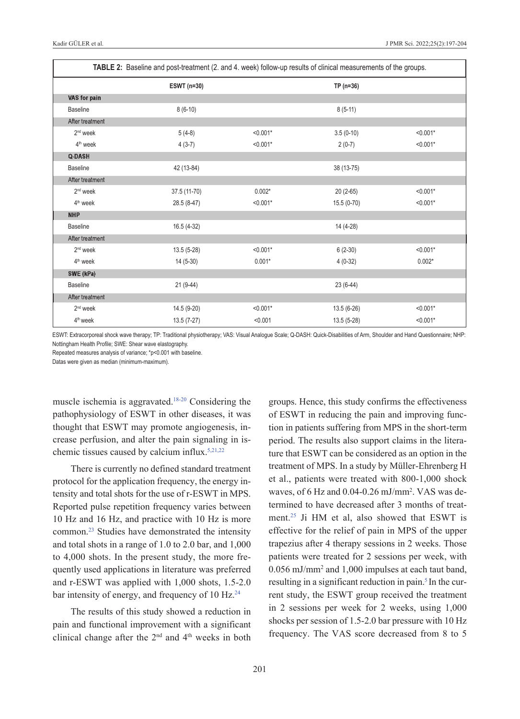| TABLE 2: Baseline and post-treatment (2. and 4. week) follow-up results of clinical measurements of the groups. |              |            |              |            |
|-----------------------------------------------------------------------------------------------------------------|--------------|------------|--------------|------------|
|                                                                                                                 | ESWT (n=30)  |            | $TP(n=36)$   |            |
| VAS for pain                                                                                                    |              |            |              |            |
| <b>Baseline</b>                                                                                                 | $8(6-10)$    |            | $8(5-11)$    |            |
| After treatment                                                                                                 |              |            |              |            |
| $2nd$ week                                                                                                      | $5(4-8)$     | $< 0.001*$ | $3.5(0-10)$  | $< 0.001*$ |
| 4 <sup>th</sup> week                                                                                            | $4(3-7)$     | $< 0.001*$ | $2(0-7)$     | $< 0.001*$ |
| <b>Q-DASH</b>                                                                                                   |              |            |              |            |
| <b>Baseline</b>                                                                                                 | 42 (13-84)   |            | 38 (13-75)   |            |
| After treatment                                                                                                 |              |            |              |            |
| 2 <sup>nd</sup> week                                                                                            | 37.5 (11-70) | $0.002*$   | $20(2-65)$   | $< 0.001*$ |
| 4 <sup>th</sup> week                                                                                            | 28.5 (8-47)  | $< 0.001*$ | $15.5(0-70)$ | $< 0.001*$ |
| <b>NHP</b>                                                                                                      |              |            |              |            |
| <b>Baseline</b>                                                                                                 | $16.5(4-32)$ |            | 14 (4-28)    |            |
| After treatment                                                                                                 |              |            |              |            |
| 2 <sup>nd</sup> week                                                                                            | $13.5(5-28)$ | $< 0.001*$ | $6(2-30)$    | $< 0.001*$ |
| 4 <sup>th</sup> week                                                                                            | $14(5-30)$   | $0.001*$   | $4(0-32)$    | $0.002*$   |
| SWE (kPa)                                                                                                       |              |            |              |            |
| <b>Baseline</b>                                                                                                 | $21(9-44)$   |            | $23(6-44)$   |            |
| After treatment                                                                                                 |              |            |              |            |
| $2nd$ week                                                                                                      | 14.5 (9-20)  | $< 0.001*$ | $13.5(6-26)$ | $< 0.001*$ |
| 4 <sup>th</sup> week                                                                                            | $13.5(7-27)$ | < 0.001    | $13.5(5-28)$ | $< 0.001*$ |

ESWT: Extracorporeal shock wave therapy; TP: Traditional physiotherapy; VAS: Visual Analogue Scale; Q-DASH: Quick-Disabilities of Arm, Shoulder and Hand Questionnaire; NHP: Nottingham Health Profile; SWE: Shear wave elastography.

Repeated measures analysis of variance; \*p<0.001 with baseline.

Datas were given as median (minimum-maximum).

muscle ischemia is aggravated[.18-20](#page-7-0) Considering the pathophysiology of ESWT in other diseases, it was thought that ESWT may promote angiogenesis, increase perfusion, and alter the pain signaling in ischemic tissues caused by calcium influx[.5,21,22](#page-7-0)

There is currently no defined standard treatment protocol for the application frequency, the energy intensity and total shots for the use of r-ESWT in MPS. Reported pulse repetition frequency varies between 10 Hz and 16 Hz, and practice with 10 Hz is more common[.23](#page-7-0) Studies have demonstrated the intensity and total shots in a range of 1.0 to 2.0 bar, and 1,000 to 4,000 shots. In the present study, the more frequently used applications in literature was preferred and r-ESWT was applied with 1,000 shots, 1.5-2.0 bar intensity of energy, and frequency of 10 Hz.<sup>24</sup>

The results of this study showed a reduction in pain and functional improvement with a significant clinical change after the  $2<sup>nd</sup>$  and  $4<sup>th</sup>$  weeks in both <span id="page-4-0"></span>groups. Hence, this study confirms the effectiveness of ESWT in reducing the pain and improving function in patients suffering from MPS in the short-term period. The results also support claims in the literature that ESWT can be considered as an option in the treatment of MPS. In a study by Müller-Ehrenberg H et al., patients were treated with 800-1,000 shock waves, of 6 Hz and 0.04-0.26 mJ/mm<sup>2</sup>. VAS was determined to have decreased after 3 months of treatment.<sup>25</sup> Ji HM et al, also showed that ESWT is effective for the relief of pain in MPS of the upper trapezius after 4 therapy sessions in 2 weeks. Those patients were treated for 2 sessions per week, with 0.056 mJ/mm2 and 1,000 impulses at each taut band, resulting in a significant reduction in pain.<sup>5</sup> In the current study, the ESWT group received the treatment in 2 sessions per week for 2 weeks, using 1,000 shocks per session of 1.5-2.0 bar pressure with 10 Hz frequency. The VAS score decreased from 8 to 5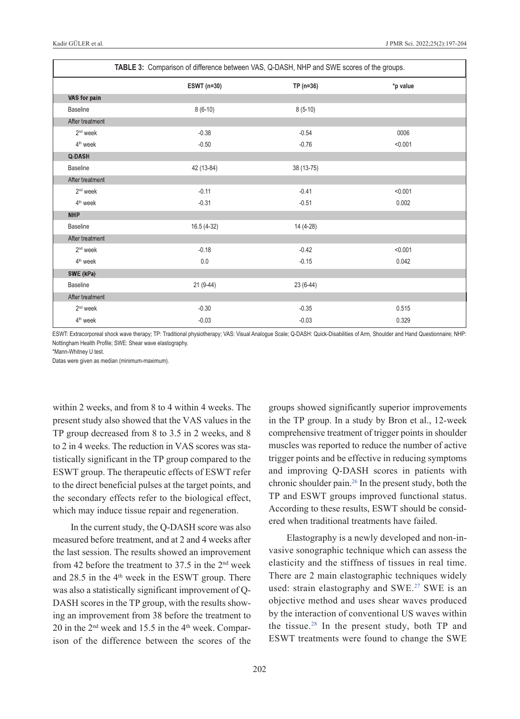|                      | TABLE 3: Comparison of difference between VAS, Q-DASH, NHP and SWE scores of the groups. |            |          |  |
|----------------------|------------------------------------------------------------------------------------------|------------|----------|--|
|                      | ESWT (n=30)                                                                              | $TP(n=36)$ | *p value |  |
| VAS for pain         |                                                                                          |            |          |  |
| <b>Baseline</b>      | $8(6-10)$                                                                                | $8(5-10)$  |          |  |
| After treatment      |                                                                                          |            |          |  |
| 2 <sup>nd</sup> week | $-0.38$                                                                                  | $-0.54$    | 0006     |  |
| $4th$ week           | $-0.50$                                                                                  | $-0.76$    | < 0.001  |  |
| Q-DASH               |                                                                                          |            |          |  |
| <b>Baseline</b>      | 42 (13-84)                                                                               | 38 (13-75) |          |  |
| After treatment      |                                                                                          |            |          |  |
| 2 <sup>nd</sup> week | $-0.11$                                                                                  | $-0.41$    | < 0.001  |  |
| 4 <sup>th</sup> week | $-0.31$                                                                                  | $-0.51$    | 0.002    |  |
| <b>NHP</b>           |                                                                                          |            |          |  |
| <b>Baseline</b>      | 16.5 (4-32)                                                                              | 14 (4-28)  |          |  |
| After treatment      |                                                                                          |            |          |  |
| $2nd$ week           | $-0.18$                                                                                  | $-0.42$    | < 0.001  |  |
| 4 <sup>th</sup> week | 0.0                                                                                      | $-0.15$    | 0.042    |  |
| SWE (kPa)            |                                                                                          |            |          |  |
| <b>Baseline</b>      | 21 (9-44)                                                                                | $23(6-44)$ |          |  |
| After treatment      |                                                                                          |            |          |  |
| 2 <sup>nd</sup> week | $-0.30$                                                                                  | $-0.35$    | 0.515    |  |
| 4 <sup>th</sup> week | $-0.03$                                                                                  | $-0.03$    | 0.329    |  |

ESWT: Extracorporeal shock wave therapy; TP: Traditional physiotherapy; VAS: Visual Analogue Scale; Q-DASH: Quick-Disabilities of Arm, Shoulder and Hand Questionnaire; NHP: Nottingham Health Profile; SWE: Shear wave elastography.

\*Mann-Whitney U test.

Datas were given as median (minimum-maximum).

within 2 weeks, and from 8 to 4 within 4 weeks. The present study also showed that the VAS values in the TP group decreased from 8 to 3.5 in 2 weeks, and 8 to 2 in 4 weeks. The reduction in VAS scores was statistically significant in the TP group compared to the ESWT group. The therapeutic effects of ESWT refer to the direct beneficial pulses at the target points, and the secondary effects refer to the biological effect, which may induce tissue repair and regeneration.

In the current study, the Q-DASH score was also measured before treatment, and at 2 and 4 weeks after the last session. The results showed an improvement from 42 before the treatment to  $37.5$  in the  $2<sup>nd</sup>$  week and  $28.5$  in the  $4<sup>th</sup>$  week in the ESWT group. There was also a statistically significant improvement of Q-DASH scores in the TP group, with the results showing an improvement from 38 before the treatment to  $20$  in the  $2<sup>nd</sup>$  week and 15.5 in the  $4<sup>th</sup>$  week. Comparison of the difference between the scores of the <span id="page-5-0"></span>groups showed significantly superior improvements in the TP group. In a study by Bron et al., 12-week comprehensive treatment of trigger points in shoulder muscles was reported to reduce the number of active trigger points and be effective in reducing symptoms and improving Q-DASH scores in patients with chronic shoulder pain. $26$  In the present study, both the TP and ESWT groups improved functional status. According to these results, ESWT should be considered when traditional treatments have failed.

Elastography is a newly developed and non-invasive sonographic technique which can assess the elasticity and the stiffness of tissues in real time. There are 2 main elastographic techniques widely used: strain elastography and SWE.<sup>27</sup> SWE is an objective method and uses shear waves produced by the interaction of conventional US waves within the tissue.<sup>28</sup> In the present study, both  $TP$  and ESWT treatments were found to change the SWE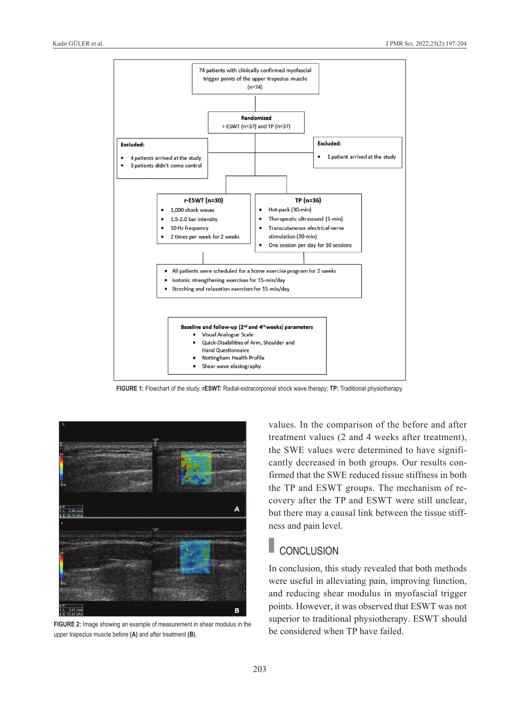

**FIGURE 1:** Flowchart of the study. **rESWT:** Radial-extracorporeal shock wave therapy; **TP:** Traditional physiotherapy.



**FIGURE 2:** Image showing an example of measurement in shear modulus in the upper trapezius muscle before **(A)** and after treatment **(B)**.

<span id="page-6-0"></span>values. In the comparison of the before and after treatment values (2 and 4 weeks after treatment), the SWE values were determined to have significantly decreased in both groups. Our results confirmed that the SWE reduced tissue stiffness in both the TP and ESWT groups. The mechanism of recovery after the TP and ESWT were still unclear, but there may a causal link between the tissue stiffness and pain level.

### **CONCLUSION**

<span id="page-6-1"></span>In conclusion, this study revealed that both methods were useful in alleviating pain, improving function, and reducing shear modulus in myofascial trigger points. However, it was observed that ESWT was not superior to traditional physiotherapy. ESWT should be considered when TP have failed.